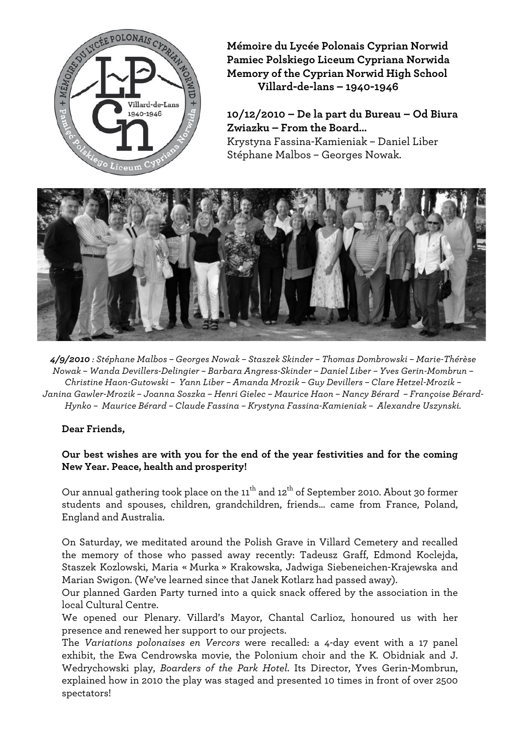

**Mémoire du Lycée Polonais Cyprian Norwid Pamiec Polskiego Liceum Cypriana Norwida Memory of the Cyprian Norwid High School Villard-de-lans – 1940-1946**

**10/12/2010 – De la part du Bureau – Od Biura Zwiazku – From the Board…** Krystyna Fassina-Kamieniak – Daniel Liber Stéphane Malbos – Georges Nowak.



*4/9/2010 : Stéphane Malbos – Georges Nowak – Staszek Skinder – Thomas Dombrowski – Marie-Thérèse Nowak – Wanda Devillers-Delingier – Barbara Angress-Skinder – Daniel Liber – Yves Gerin-Mombrun – Christine Haon-Gutowski – Yann Liber – Amanda Mrozik – Guy Devillers – Clare Hetzel-Mrozik – Janina Gawler-Mrozik – Joanna Soszka – Henri Gielec – Maurice Haon – Nancy Bérard – Françoise Bérard-Hynko – Maurice Bérard – Claude Fassina – Krystyna Fassina-Kamieniak – Alexandre Uszynski.*

## **Dear Friends,**

## **Our best wishes are with you for the end of the year festivities and for the coming New Year. Peace, health and prosperity!**

Our annual gathering took place on the  $11<sup>th</sup>$  and  $12<sup>th</sup>$  of September 2010. About 30 former students and spouses, children, grandchildren, friends… came from France, Poland, England and Australia.

On Saturday, we meditated around the Polish Grave in Villard Cemetery and recalled the memory of those who passed away recently: Tadeusz Graff, Edmond Koclejda, Staszek Kozlowski, Maria « Murka » Krakowska, Jadwiga Siebeneichen-Krajewska and Marian Swigon. (We've learned since that Janek Kotlarz had passed away).

Our planned Garden Party turned into a quick snack offered by the association in the local Cultural Centre.

We opened our Plenary. Villard's Mayor, Chantal Carlioz, honoured us with her presence and renewed her support to our projects.

The *Variations polonaises en Vercors* were recalled: a 4-day event with a 17 panel exhibit, the Ewa Cendrowska movie, the Polonium choir and the K. Obidniak and J. Wedrychowski play, *Boarders of the Park Hotel*. Its Director, Yves Gerin-Mombrun, explained how in 2010 the play was staged and presented 10 times in front of over 2500 spectators!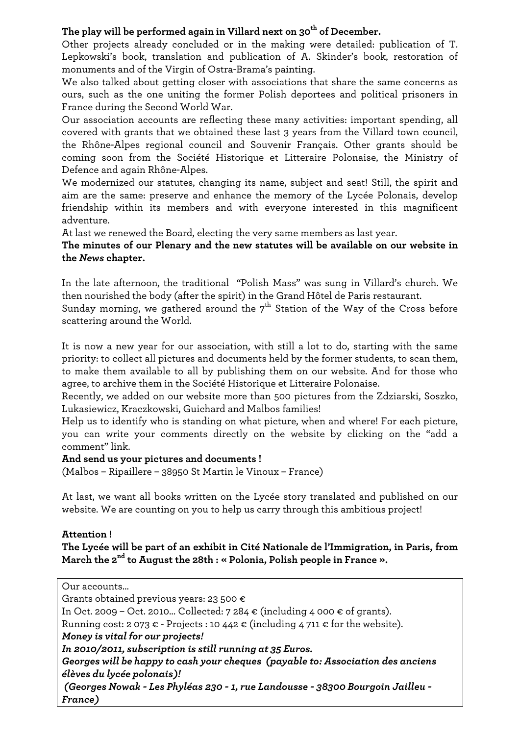# The play will be performed again in Villard next on 30<sup>th</sup> of December.

Other projects already concluded or in the making were detailed: publication of T. Lepkowski's book, translation and publication of A. Skinder's book, restoration of monuments and of the Virgin of Ostra-Brama's painting.

We also talked about getting closer with associations that share the same concerns as ours, such as the one uniting the former Polish deportees and political prisoners in France during the Second World War.

Our association accounts are reflecting these many activities: important spending, all covered with grants that we obtained these last 3 years from the Villard town council, the Rhône-Alpes regional council and Souvenir Français. Other grants should be coming soon from the Société Historique et Litteraire Polonaise, the Ministry of Defence and again Rhône-Alpes.

We modernized our statutes, changing its name, subject and seat! Still, the spirit and aim are the same: preserve and enhance the memory of the Lycée Polonais, develop friendship within its members and with everyone interested in this magnificent adventure.

At last we renewed the Board, electing the very same members as last year.

## **The minutes of our Plenary and the new statutes will be available on our website in the** *News* **chapter.**

In the late afternoon, the traditional "Polish Mass" was sung in Villard's church. We then nourished the body (after the spirit) in the Grand Hôtel de Paris restaurant.

Sunday morning, we gathered around the  $7<sup>th</sup>$  Station of the Way of the Cross before scattering around the World.

It is now a new year for our association, with still a lot to do, starting with the same priority: to collect all pictures and documents held by the former students, to scan them, to make them available to all by publishing them on our website. And for those who agree, to archive them in the Société Historique et Litteraire Polonaise.

Recently, we added on our website more than 500 pictures from the Zdziarski, Soszko, Lukasiewicz, Kraczkowski, Guichard and Malbos families!

Help us to identify who is standing on what picture, when and where! For each picture, you can write your comments directly on the website by clicking on the "add a comment" link.

## **And send us your pictures and documents !**

(Malbos – Ripaillere – 38950 St Martin le Vinoux – France)

At last, we want all books written on the Lycée story translated and published on our website. We are counting on you to help us carry through this ambitious project!

## **Attention !**

**The Lycée will be part of an exhibit in Cité Nationale de l'Immigration, in Paris, from March the 2nd to August the 28th : « Polonia, Polish people in France ».**

Our accounts… Grants obtained previous years: 23 500 € In Oct. 2009 – Oct. 2010... Collected: 7 284  $\epsilon$  (including 4 000  $\epsilon$  of grants). Running cost: 2 073  $\epsilon$  - Projects : 10 442  $\epsilon$  (including 4 711  $\epsilon$  for the website). *Money is vital for our projects! In 2010/2011, subscription is still running at 35 Euros. Georges will be happy to cash your cheques (payable to: Association des anciens élèves du lycée polonais)! (Georges Nowak - Les Phyléas 230 - 1, rue Landousse - 38300 Bourgoin Jailleu - France)*